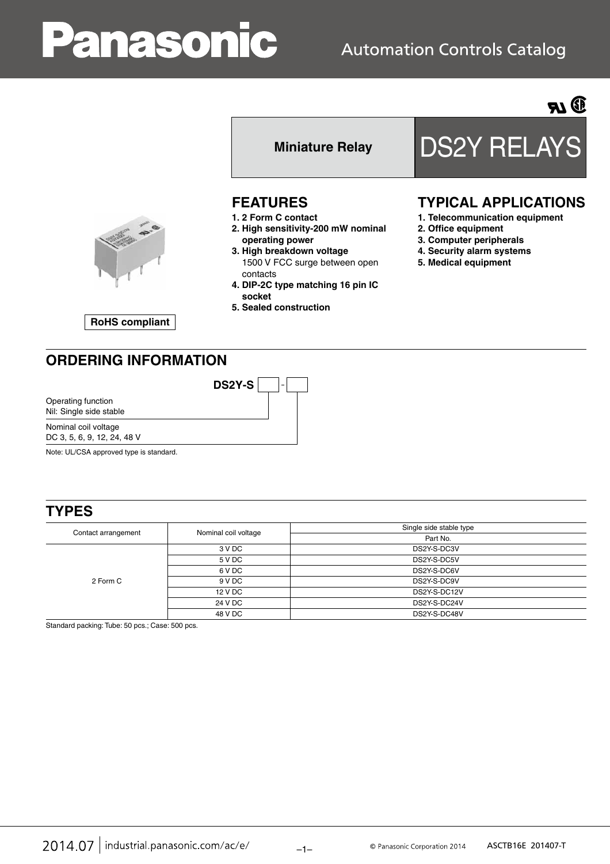# anasonic



**RoHS compliant**

#### **FEATURES**

- **1. 2 Form C contact**
- **2. High sensitivity-200 mW nominal operating power**
- **3. High breakdown voltage** 1500 V FCC surge between open contacts
- **4. DIP-2C type matching 16 pin IC socket**
- **5. Sealed construction**

**DS2Y-S**

## Miniature Relay DS2Y RELAYS

#### **TYPICAL APPLICATIONS**

- **1. Telecommunication equipment**
- **2. Office equipment**
- **3. Computer peripherals**
- **4. Security alarm systems**
- **5. Medical equipment**

### **ORDERING INFORMATION**

Nominal coil voltage Operating function Nil: Single side stable

DC 3, 5, 6, 9, 12, 24, 48 V

Note: UL/CSA approved type is standard.

#### **TYPES**

| Contact arrangement | Nominal coil voltage | Single side stable type |  |  |
|---------------------|----------------------|-------------------------|--|--|
|                     |                      | Part No.                |  |  |
| 2 Form C            | 3 V DC               | DS2Y-S-DC3V             |  |  |
|                     | 5 V DC               | DS2Y-S-DC5V             |  |  |
|                     | 6 V DC               | DS2Y-S-DC6V             |  |  |
|                     | 9 V DC               | DS2Y-S-DC9V             |  |  |
|                     | 12 V DC              | DS2Y-S-DC12V            |  |  |
|                     | 24 V DC              | DS2Y-S-DC24V            |  |  |
|                     | 48 V DC              | DS2Y-S-DC48V            |  |  |

Standard packing: Tube: 50 pcs.; Case: 500 pcs.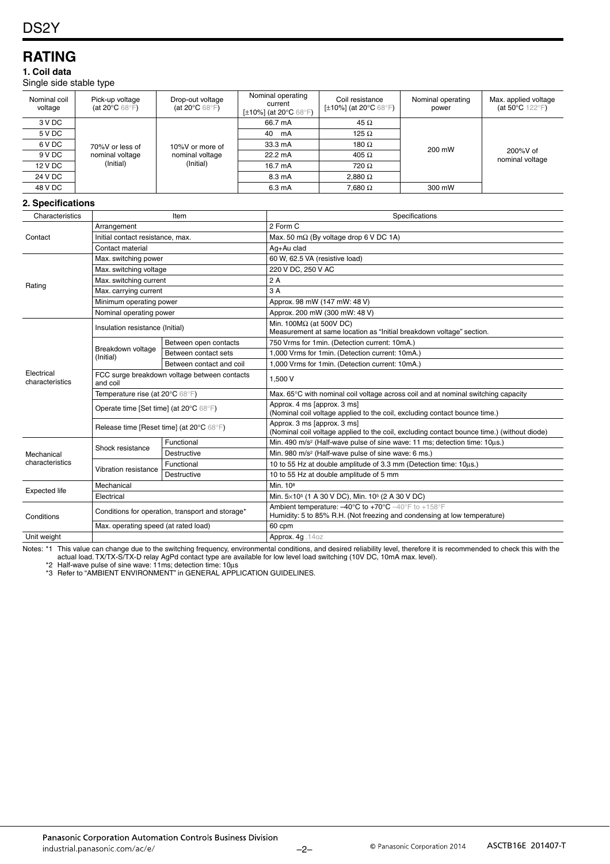#### **RATING**

#### **1. Coil data**

Single side stable type

| Nominal coil<br>voltage | Pick-up voltage<br>(at 20 $\mathrm{^{\circ}C}$ 68 $\mathrm{^{\circ}F}$ ) | Drop-out voltage<br>(at 20 $\mathrm{^{\circ}C}$ 68 $\mathrm{^{\circ}F}$ ) | Nominal operating<br>current<br>[ $\pm$ 10%] (at 20 $^{\circ}$ C 68 $^{\circ}$ F) | Coil resistance<br>[ $\pm$ 10%] (at 20 $^{\circ}$ C 68 $^{\circ}$ F) | Nominal operating<br>power | Max. applied voltage<br>(at 50 $\degree$ C 122 $\degree$ F) |
|-------------------------|--------------------------------------------------------------------------|---------------------------------------------------------------------------|-----------------------------------------------------------------------------------|----------------------------------------------------------------------|----------------------------|-------------------------------------------------------------|
| 3 V DC                  | 70%V or less of                                                          | 10%V or more of                                                           | 66.7 mA                                                                           | 45 $\Omega$                                                          | 200 mW                     | $200\%$ V of<br>nominal voltage                             |
| 5 V DC                  |                                                                          |                                                                           | 40<br>mA                                                                          | 125 $\Omega$                                                         |                            |                                                             |
| 6 V DC                  |                                                                          |                                                                           | 33.3 mA                                                                           | 180 $\Omega$                                                         |                            |                                                             |
| 9 V DC                  | nominal voltage                                                          | nominal voltage                                                           | 22.2 mA                                                                           | 405 $\Omega$                                                         |                            |                                                             |
| 12 V DC                 | (Initial)<br>(Initial)                                                   | 16.7 mA                                                                   | $720 \Omega$                                                                      |                                                                      |                            |                                                             |
| 24 V DC                 |                                                                          |                                                                           | 8.3 mA                                                                            | $2.880\ \Omega$                                                      |                            |                                                             |
| 48 V DC                 |                                                                          | 6.3 mA                                                                    | $7.680\,\Omega$                                                                   | 300 mW                                                               |                            |                                                             |

#### **2. Specifications**

| Characteristics               | Item                                                     |                          | Specifications                                                                                                                                                          |  |  |
|-------------------------------|----------------------------------------------------------|--------------------------|-------------------------------------------------------------------------------------------------------------------------------------------------------------------------|--|--|
|                               | Arrangement                                              |                          | 2 Form C                                                                                                                                                                |  |  |
| Contact                       | Initial contact resistance, max.                         |                          | Max. 50 m $\Omega$ (By voltage drop 6 V DC 1A)                                                                                                                          |  |  |
|                               | Contact material                                         |                          | Ag+Au clad                                                                                                                                                              |  |  |
| Rating                        | Max. switching power                                     |                          | 60 W, 62.5 VA (resistive load)                                                                                                                                          |  |  |
|                               | Max. switching voltage                                   |                          | 220 V DC, 250 V AC                                                                                                                                                      |  |  |
|                               | Max. switching current                                   |                          | 2A                                                                                                                                                                      |  |  |
|                               | Max. carrying current                                    |                          | 3A                                                                                                                                                                      |  |  |
|                               | Minimum operating power                                  |                          | Approx. 98 mW (147 mW: 48 V)                                                                                                                                            |  |  |
|                               | Nominal operating power                                  |                          | Approx. 200 mW (300 mW: 48 V)                                                                                                                                           |  |  |
|                               | Insulation resistance (Initial)                          |                          | Min. 100 $M\Omega$ (at 500V DC)<br>Measurement at same location as "Initial breakdown voltage" section.                                                                 |  |  |
|                               |                                                          | Between open contacts    | 750 Vrms for 1min. (Detection current: 10mA.)                                                                                                                           |  |  |
|                               | Breakdown voltage<br>(Initial)                           | Between contact sets     | 1,000 Vrms for 1min. (Detection current: 10mA.)                                                                                                                         |  |  |
|                               |                                                          | Between contact and coil | 1,000 Vrms for 1min. (Detection current: 10mA.)                                                                                                                         |  |  |
| Electrical<br>characteristics | FCC surge breakdown voltage between contacts<br>and coil |                          | 1.500 V                                                                                                                                                                 |  |  |
|                               | Temperature rise (at 20°C 68°F)                          |                          | Max. 65°C with nominal coil voltage across coil and at nominal switching capacity                                                                                       |  |  |
|                               | Operate time [Set time] (at 20°C 68°F)                   |                          | Approx. 4 ms [approx. 3 ms]<br>(Nominal coil voltage applied to the coil, excluding contact bounce time.)                                                               |  |  |
|                               | Release time [Reset time] (at 20°C 68°F)                 |                          | Approx. 3 ms [approx. 3 ms]<br>(Nominal coil voltage applied to the coil, excluding contact bounce time.) (without diode)                                               |  |  |
| Mechanical<br>characteristics | Shock resistance                                         | Functional               | Min. 490 m/s <sup>2</sup> (Half-wave pulse of sine wave: 11 ms; detection time: 10us.)                                                                                  |  |  |
|                               |                                                          | Destructive              | Min. 980 m/s <sup>2</sup> (Half-wave pulse of sine wave: 6 ms.)                                                                                                         |  |  |
|                               | Vibration resistance                                     | Functional               | 10 to 55 Hz at double amplitude of 3.3 mm (Detection time: 10us.)                                                                                                       |  |  |
|                               |                                                          | <b>Destructive</b>       | 10 to 55 Hz at double amplitude of 5 mm                                                                                                                                 |  |  |
| <b>Expected life</b>          | Mechanical                                               |                          | Min. 10 <sup>8</sup>                                                                                                                                                    |  |  |
|                               | Electrical                                               |                          | Min. 5×10 <sup>5</sup> (1 A 30 V DC), Min. 10 <sup>5</sup> (2 A 30 V DC)                                                                                                |  |  |
| Conditions                    | Conditions for operation, transport and storage*         |                          | Ambient temperature: $-40^{\circ}$ C to $+70^{\circ}$ C $-40^{\circ}$ F to $+158^{\circ}$ F<br>Humidity: 5 to 85% R.H. (Not freezing and condensing at low temperature) |  |  |
|                               | Max. operating speed (at rated load)                     |                          | 60 cpm                                                                                                                                                                  |  |  |
| Unit weight                   |                                                          |                          | Approx. 4g. 14oz                                                                                                                                                        |  |  |

Notes: \*1 This value can change due to the switching frequency, environmental conditions, and desired reliability level, therefore it is recommended to check this with the

actual load. TX/TX-S/TX-D relay AgPd contact type are available for low level load switching (10V DC, 10mA max. level).

\*2 Half-wave pulse of sine wave: 11ms; detection time: 10μs \*3 Refer to "AMBIENT ENVIRONMENT" in GENERAL APPLICATION GUIDELINES.